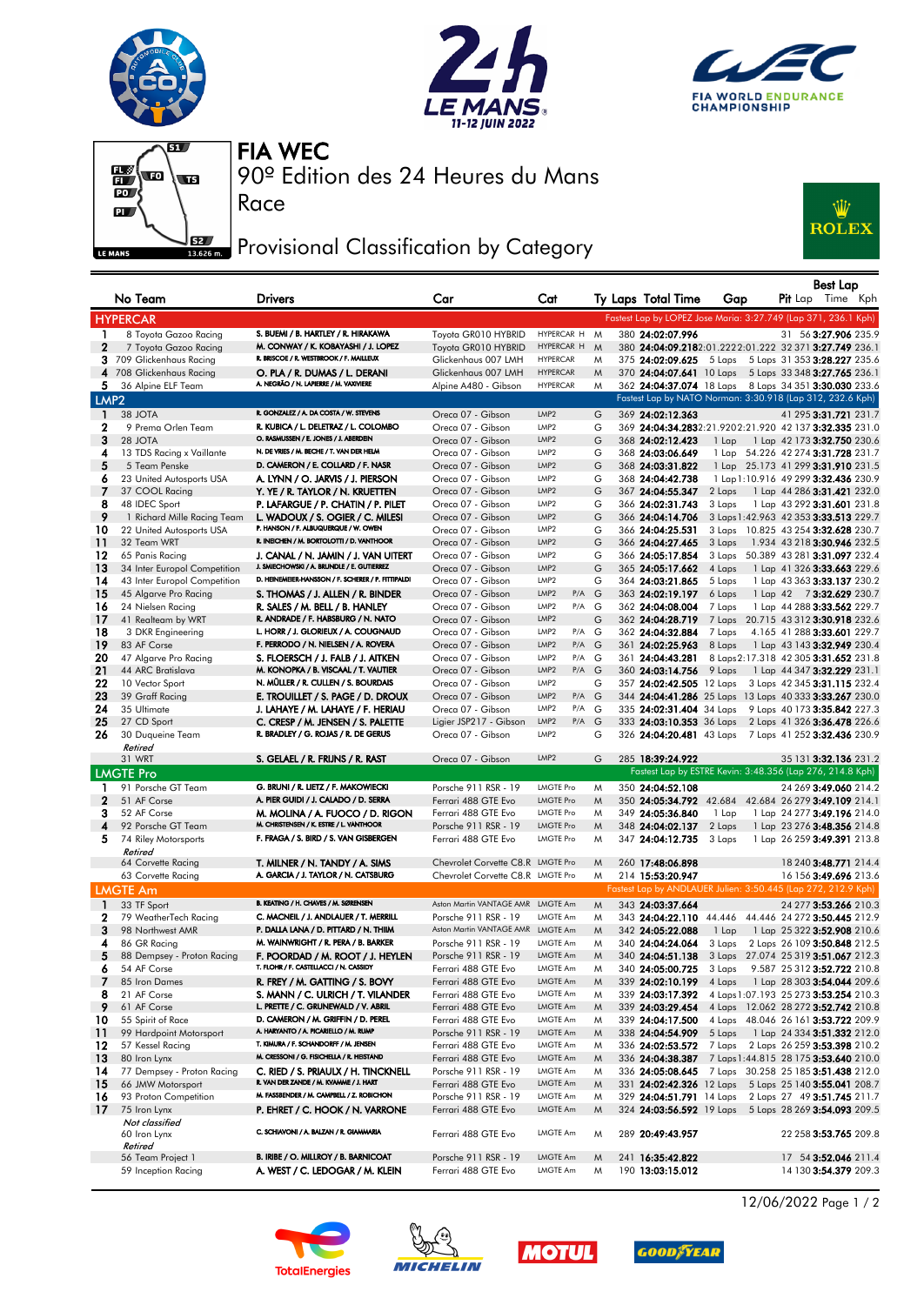







Race

90º Edition des 24 Heures du Mans FIA WEC

## Provisional Classification by Category



| <b>Best Lap</b>  |                                                              |                                                                                    |                                              |                                               |        |  |                                      |                  |  |                                                                                        |
|------------------|--------------------------------------------------------------|------------------------------------------------------------------------------------|----------------------------------------------|-----------------------------------------------|--------|--|--------------------------------------|------------------|--|----------------------------------------------------------------------------------------|
|                  | No Team                                                      | <b>Drivers</b>                                                                     | Car                                          | Cat                                           |        |  | Ty Laps Total Time                   | Gap              |  | Pit Lap Time Kph                                                                       |
|                  | <b>HYPERCAR</b>                                              |                                                                                    |                                              |                                               |        |  |                                      |                  |  | Fastest Lap by LOPEZ Jose Maria: 3:27.749 (Lap 371, 236.1 Kph)                         |
| 1                | 8 Toyota Gazoo Racing                                        | S. BUEMI / B. HARTLEY / R. HIRAKAWA                                                | Toyota GR010 HYBRID                          | HYPERCAR H M                                  |        |  | 380 24:02:07.996                     |                  |  | 31 56 3:27.906 235.9                                                                   |
| $\mathbf{2}$     | 7 Toyota Gazoo Racing                                        | M. CONWAY / K. KOBAYASHI / J. LOPEZ                                                | Tovota GR010 HYBRID                          | HYPERCAR H                                    | M      |  |                                      |                  |  | 380 24:04:09.2182:01.2222:01.222 32 371 3:27.749 236.1                                 |
| 3                | 709 Glickenhaus Racing                                       | R. BRISCOE / R. WESTBROOK / F. MAILLEUX                                            | Glickenhaus 007 LMH                          | <b>HYPERCAR</b>                               | M      |  | 375 24:02:09.625                     | 5 Laps           |  | 5 Laps 31 353 3:28.227 235.6                                                           |
| 4                | 708 Glickenhaus Racing                                       | O. PLA / R. DUMAS / L. DERANI                                                      | Glickenhaus 007 LMH                          | <b>HYPERCAR</b>                               | M      |  |                                      |                  |  | 370 24:04:07.641 10 Laps 5 Laps 33 348 3:27.765 236.1                                  |
| 5                | 36 Alpine ELF Team                                           | A. NEGRÃO / N. LAPIERRE / M. VAXIVIERE                                             | Alpine A480 - Gibson                         | <b>HYPERCAR</b>                               | M      |  |                                      |                  |  | 362 24:04:37.074 18 Laps 8 Laps 34 351 3:30.030 233.6                                  |
| LMP <sub>2</sub> |                                                              |                                                                                    |                                              |                                               |        |  |                                      |                  |  | Fastest Lap by NATO Norman: 3:30.918 (Lap 312, 232.6 Kph)                              |
| 1                | 38 JOTA                                                      | R. GONZALEZ / A. DA COSTA / W. STEVENS                                             | Oreca 07 - Gibson                            | LMP2                                          | G      |  | 369 24:02:12.363                     |                  |  | 41 295 3:31.721 231.7                                                                  |
| 2                | 9 Prema Orlen Team                                           | R. KUBICA / L. DELETRAZ / L. COLOMBO<br>O. RASMUSSEN / E. JONES / J. ABERDEIN      | Oreca 07 - Gibson                            | LMP <sub>2</sub>                              | G      |  |                                      |                  |  | 369 24:04:34.2832:21.9202:21.920 42 137 3:32.335 231.0                                 |
| 3<br>4           | 28 JOTA                                                      | N. DE VRIES / M. BECHE / T. VAN DER HELM                                           | Oreca 07 - Gibson                            | LMP <sub>2</sub><br>LMP <sub>2</sub>          | G<br>G |  | 368 24:02:12.423<br>368 24:03:06.649 | 1 Lap            |  | 1 Lap 42 173 <b>3:32.750</b> 230.6<br>1 Lap 54.226 42 274 3:31.728 231.7               |
| 5                | 13 TDS Racing x Vaillante<br>5 Team Penske                   | D. CAMERON / E. COLLARD / F. NASR                                                  | Oreca 07 - Gibson<br>Oreca 07 - Gibson       | LMP <sub>2</sub>                              | G      |  | 368 24:03:31.822                     |                  |  | 1 Lap 25.173 41 299 3:31.910 231.5                                                     |
| 6                | 23 United Autosports USA                                     | A. LYNN / O. JARVIS / J. PIERSON                                                   | Oreca 07 - Gibson                            | LMP <sub>2</sub>                              | G      |  | 368 24:04:42.738                     |                  |  | 1 Lap 1:10.916 49 299 3:32.436 230.9                                                   |
| 7                | 37 COOL Racing                                               | Y. YE / R. TAYLOR / N. KRUETTEN                                                    | Oreca 07 - Gibson                            | LMP2                                          | G      |  | 367 24:04:55.347                     | 2 Laps           |  | 1 Lap 44 286 3:31.421 232.0                                                            |
| 8                | 48 IDEC Sport                                                | P. LAFARGUE / P. CHATIN / P. PILET                                                 | Oreca 07 - Gibson                            | LMP <sub>2</sub>                              | G      |  | 366 24:02:31.743                     | 3 Laps           |  | 1 Lap 43 292 3:31.601 231.8                                                            |
| 9                | 1 Richard Mille Racing Team                                  | L. WADOUX / S. OGIER / C. MILESI                                                   | Oreca 07 - Gibson                            | LMP <sub>2</sub>                              | G      |  | 366 24:04:14.706                     |                  |  | 3 Laps 1:42.963 42 353 3:33.513 229.7                                                  |
| 10               | 22 United Autosports USA                                     | P. HANSON / F. ALBUQUERQUE / W. OWEN                                               | Oreca 07 - Gibson                            | LMP <sub>2</sub>                              | G      |  | 366 24:04:25.531                     |                  |  | 3 Laps 10.825 43 254 3:32.628 230.7                                                    |
| 11               | 32 Team WRT                                                  | R. INEICHEN / M. BORTOLOTTI / D. VANTHOOR                                          | Oreca 07 - Gibson                            | LMP <sub>2</sub>                              | G      |  | 366 24:04:27.465                     | 3 Laps           |  | 1.934 43 218 3:30.946 232.5                                                            |
| 12               | 65 Panis Racing                                              | J. CANAL / N. JAMIN / J. VAN UITERT<br>J. SMIECHOWSKI / A. BRUNDLE / E. GUTIERREZ  | Oreca 07 - Gibson                            | LMP <sub>2</sub>                              | G      |  | 366 24:05:17.854                     | 3 Laps           |  | 50.389 43 281 3:31.097 232.4                                                           |
| 13<br>14         | 34 Inter Europol Competition<br>43 Inter Europol Competition | D. HEINEMEIER-HANSSON / F. SCHERER / P. FITTIPALDI                                 | Oreca 07 - Gibson<br>Oreca 07 - Gibson       | LMP <sub>2</sub><br>LMP <sub>2</sub>          | G<br>G |  | 365 24:05:17.662<br>364 24:03:21.865 | 4 Laps<br>5 Laps |  | 1 Lap 41 326 3:33.663 229.6<br>1 Lap 43 363 3:33.137 230.2                             |
| 15               | 45 Algarve Pro Racing                                        | S. THOMAS / J. ALLEN / R. BINDER                                                   | Oreca 07 - Gibson                            | LMP <sub>2</sub><br>P/A                       | G      |  | 363 24:02:19.197                     | 6 Laps           |  | 1 Lap 42 73:32.629 230.7                                                               |
| 16               | 24 Nielsen Racing                                            | R. SALES / M. BELL / B. HANLEY                                                     | Oreca 07 - Gibson                            | LMP <sub>2</sub><br>$P/A$ G                   |        |  | 362 24:04:08.004                     | 7 Laps           |  | 1 Lap 44 288 3:33.562 229.7                                                            |
| 17               | 41 Realteam by WRT                                           | R. ANDRADE / F. HABSBURG / N. NATO                                                 | Oreca 07 - Gibson                            | LMP <sub>2</sub>                              | G      |  | 362 24:04:28.719                     | 7 Laps           |  | 20.715 43 312 3:30.918 232.6                                                           |
| 18               | 3 DKR Engineering                                            | L. HORR / J. GLORIEUX / A. COUGNAUD                                                | Oreca 07 - Gibson                            | LMP <sub>2</sub><br>P/A                       | G      |  | 362 24:04:32.884                     | 7 Laps           |  | 4.165 41 288 3:33.601 229.7                                                            |
| 19               | 83 AF Corse                                                  | F. PERRODO / N. NIELSEN / A. ROVERA                                                | Oreca 07 - Gibson                            | LMP2<br>P/A                                   | G      |  | 361 24:02:25.963                     | 8 Laps           |  | 1 Lap 43 143 3:32.949 230.4                                                            |
| 20               | 47 Algarve Pro Racing                                        | S. FLOERSCH / J. FALB / J. AITKEN                                                  | Oreca 07 - Gibson                            | LMP <sub>2</sub><br>P/A G                     |        |  | 361 24:04:43.281                     |                  |  | 8 Laps 2:17.318 42 305 3:31.652 231.8                                                  |
| 21               | 44 ARC Bratislava                                            | M. KONOPKA / B. VISCAAL / T. VAUTIER                                               | Oreca 07 - Gibson                            | LMP <sub>2</sub><br>P/A G                     |        |  | 360 24:03:14.756                     | 9 Laps           |  | 1 Lap 44 347 3:32.229 231.1                                                            |
| 22<br>23         | 10 Vector Sport<br>39 Graff Racing                           | N. MÜLLER / R. CULLEN / S. BOURDAIS<br>E. TROUILLET / S. PAGE / D. DROUX           | Oreca 07 - Gibson                            | LMP <sub>2</sub><br>LMP <sub>2</sub><br>P/A G | G      |  | 357 24:02:42.505 12 Laps             |                  |  | 3 Laps 42 345 3:31.115 232.4<br>344 24:04:41.286 25 Laps 13 Laps 40 333 3:33.267 230.0 |
| 24               | 35 Ultimate                                                  | J. LAHAYE / M. LAHAYE / F. HERIAU                                                  | Oreca 07 - Gibson<br>Oreca 07 - Gibson       | LMP <sub>2</sub><br>$P/A$ G                   |        |  | 335 24:02:31.404 34 Laps             |                  |  | 9 Laps 40 173 3:35.842 227.3                                                           |
| 25               | 27 CD Sport                                                  | C. CRESP / M. JENSEN / S. PALETTE                                                  | Ligier JSP217 - Gibson                       | LMP2<br>P/A                                   | G      |  | 333 24:03:10.353 36 Laps             |                  |  | 2 Laps 41 326 3:36.478 226.6                                                           |
| 26               | 30 Duqueine Team                                             | R. BRADLEY / G. ROJAS / R. DE GERUS                                                | Oreca 07 - Gibson                            | LMP <sub>2</sub>                              | G      |  |                                      |                  |  | 326 24:04:20.481 43 Laps 7 Laps 41 252 3:32.436 230.9                                  |
|                  | Retired                                                      |                                                                                    |                                              |                                               |        |  |                                      |                  |  |                                                                                        |
|                  | 31 WRT                                                       | S. GELAEL / R. FRIJNS / R. RAST                                                    | Oreca 07 - Gibson                            | LMP <sub>2</sub>                              | G      |  | 285 18:39:24.922                     |                  |  | 35 131 3:32.136 231.2                                                                  |
|                  | <b>LMGTE Pro</b>                                             |                                                                                    |                                              |                                               |        |  |                                      |                  |  | Fastest Lap by ESTRE Kevin: 3:48.356 (Lap 276, 214.8 Kph)                              |
| ı                | 91 Porsche GT Team                                           | G. BRUNI / R. LIETZ / F. MAKOWIECKI                                                | Porsche 911 RSR - 19                         | <b>LMGTE Pro</b>                              | M      |  | 350 24:04:52.108                     |                  |  | 24 269 3:49.060 214.2                                                                  |
| $\mathbf{2}$     | 51 AF Corse                                                  | A. PIER GUIDI / J. CALADO / D. SERRA                                               | Ferrari 488 GTE Evo                          | <b>LMGTE Pro</b>                              | M      |  |                                      |                  |  | 350 24:05:34.792 42.684 42.684 26 279 3:49.109 214.1                                   |
| з<br>4           | 52 AF Corse<br>92 Porsche GT Team                            | M. MOLINA / A. FUOCO / D. RIGON<br>M. CHRISTENSEN / K. ESTRE / L. VANTHOOR         | Ferrari 488 GTE Evo<br>Porsche 911 RSR - 19  | <b>LMGTE Pro</b><br><b>LMGTE Pro</b>          | M<br>M |  | 349 24:05:36.840                     | 1 Lap            |  | 1 Lap 24 277 3:49.196 214.0                                                            |
| 5                | 74 Riley Motorsports                                         | F. FRAGA / S. BIRD / S. VAN GISBERGEN                                              | Ferrari 488 GTE Evo                          | LMGTE Pro                                     | M      |  | 348 24:04:02.137<br>347 24:04:12.735 | 2 Laps<br>3 Laps |  | 1 Lap 23 276 3:48.356 214.8<br>1 Lap 26 259 3:49.391 213.8                             |
|                  | Retired                                                      |                                                                                    |                                              |                                               |        |  |                                      |                  |  |                                                                                        |
|                  | 64 Corvette Racing                                           | T. MILNER / N. TANDY / A. SIMS                                                     | Chevrolet Corvette C8.R LMGTE Pro            |                                               | M      |  | 260 17:48:06.898                     |                  |  | 18 240 3:48.771 214.4                                                                  |
|                  | 63 Corvette Racing                                           | A. GARCIA / J. TAYLOR / N. CATSBURG                                                | Chevrolet Corvette C8.R LMGTE Pro            |                                               | M      |  | 214 15:53:20.947                     |                  |  | 16 156 3:49.696 213.6                                                                  |
|                  | <b>LMGTE Am</b>                                              |                                                                                    |                                              |                                               |        |  |                                      |                  |  | Fastest Lap by ANDLAUER Julien: 3:50.445 (Lap 272, 212.9 Kph)                          |
| $\blacksquare$   | 33 TF Sport                                                  | B. KEATING / H. CHAVES / M. SØRENSEN                                               | Aston Martin VANTAGE AMR LMGTE Am            |                                               | M      |  | 343 24:03:37.664                     |                  |  | 24 277 3:53.266 210.3                                                                  |
| 2                | 79 WeatherTech Racing                                        | C. MACNEIL / J. ANDLAUER / T. MERRILL                                              | Porsche 911 RSR - 19                         | LMGTE Am                                      | M      |  | 343 24:04:22.110                     |                  |  | 44.446 44.446 24 272 3:50.445 212.9                                                    |
| 3                | 98 Northwest AMR                                             | P. DALLA LANA / D. PITTARD / N. THIIM                                              | Aston Martin VANTAGE AMR LMGTE Am            |                                               | M      |  | 342 24:05:22.088                     | 1 Lap            |  | 1 Lap 25 322 3:52.908 210.6                                                            |
| 4<br>5           | 86 GR Racing                                                 | M. WAINWRIGHT / R. PERA / B. BARKER                                                | Porsche 911 RSR - 19<br>Porsche 911 RSR - 19 | LMGTE Am<br>LMGTE Am                          | M      |  | 340 24:04:24.064<br>340 24:04:51.138 | 3 Laps           |  | 2 Laps 26 109 3:50.848 212.5                                                           |
| 6                | 88 Dempsey - Proton Racing<br>54 AF Corse                    | F. POORDAD / M. ROOT / J. HEYLEN<br>T. FLOHR / F. CASTELLACCI / N. CASSIDY         | Ferrari 488 GTE Evo                          | LMGTE Am                                      | M<br>M |  | 340 24:05:00.725                     | 3 Laps           |  | 3 Laps 27.074 25 319 3:51.067 212.3<br>9.587 25 312 3:52.722 210.8                     |
| 7                | 85 Iron Dames                                                | R. FREY / M. GATTING / S. BOVY                                                     | Ferrari 488 GTE Evo                          | LMGTE Am                                      | M      |  | 339 24:02:10.199                     | 4 Laps           |  | 1 Lap 28 303 3:54.044 209.6                                                            |
| 8                | 21 AF Corse                                                  | S. MANN / C. ULRICH / T. VILANDER                                                  | Ferrari 488 GTE Evo                          | LMGTE Am                                      | M      |  | 339 24:03:17.392                     |                  |  | 4 Laps 1:07.193 25 273 3:53.254 210.3                                                  |
| 9                | 61 AF Corse                                                  | L. PRETTE / C. GRUNEWALD / V. ABRIL                                                | Ferrari 488 GTE Evo                          | LMGTE Am                                      | M      |  | 339 24:03:29.454                     |                  |  | 4 Laps 12.062 28 272 3:52.742 210.8                                                    |
| 10               | 55 Spirit of Race                                            | D. CAMERON / M. GRIFFIN / D. PEREL                                                 | Ferrari 488 GTE Evo                          | LMGTE Am                                      | M      |  | 339 24:04:17.500                     |                  |  | 4 Laps 48.046 26 161 3:53.722 209.9                                                    |
| 11               | 99 Hardpoint Motorsport                                      | A. HARYANTO / A. PICARIELLO / M. RUMP                                              | Porsche 911 RSR - 19                         | LMGTE Am                                      | M      |  | 338 24:04:54.909                     | 5 Laps           |  | 1 Lap 24 334 3:51.332 212.0                                                            |
| 12               | 57 Kessel Racing                                             | T. KIMURA / F. SCHANDORFF / M. JENSEN<br>M. CRESSONI / G. FISICHELLA / R. HEISTAND | Ferrari 488 GTE Evo                          | LMGTE Am                                      | M      |  | 336 24:02:53.572                     | 7 Laps           |  | 2 Laps 26 259 3:53.398 210.2                                                           |
| -13              | 80 Iron Lynx<br>77 Dempsey - Proton Racing                   |                                                                                    | Ferrari 488 GTE Evo                          | LMGTE Am                                      | M      |  | 336 24:04:38.387                     |                  |  | 7 Laps 1:44.815 28 175 3:53.640 210.0<br>7 Laps 30.258 25 185 3:51.438 212.0           |
| 14<br>15         | 66 JMW Motorsport                                            | C. RIED / S. PRIAULX / H. TINCKNELL<br>R. VAN DER ZANDE / M. KVAMME / J. HART      | Porsche 911 RSR - 19<br>Ferrari 488 GTE Evo  | LMGTE Am<br>LMGTE Am                          | M<br>M |  | 336 24:05:08.645                     |                  |  | 331 24:02:42.326 12 Laps 5 Laps 25 140 3:55.041 208.7                                  |
| 16               | 93 Proton Competition                                        | M. FASSBENDER / M. CAMPBELL / Z. ROBICHON                                          | Porsche 911 RSR - 19                         | LMGTE Am                                      | M      |  | 329 24:04:51.791 14 Laps             |                  |  | 2 Laps 27 49 3:51.745 211.7                                                            |
| -17              | 75 Iron Lynx                                                 | P. EHRET / C. HOOK / N. VARRONE                                                    | Ferrari 488 GTE Evo                          | LMGTE Am                                      | M      |  |                                      |                  |  | 324 24:03:56.592 19 Laps 5 Laps 28 269 3:54.093 209.5                                  |
|                  | Not classified                                               |                                                                                    |                                              |                                               |        |  |                                      |                  |  |                                                                                        |
|                  | 60 Iron Lynx<br>Retired                                      | C. SCHIAVONI / A. BALZAN / R. GIAMMARIA                                            | Ferrari 488 GTE Evo                          | LMGTE Am                                      | Μ      |  | 289 20:49:43.957                     |                  |  | 22 258 3:53.765 209.8                                                                  |
|                  | 56 Team Project 1                                            | B. IRIBE / O. MILLROY / B. BARNICOAT                                               | Porsche 911 RSR - 19                         | LMGTE Am                                      | M      |  | 241 16:35:42.822                     |                  |  | 17 54 3:52.046 211.4                                                                   |
|                  | 59 Inception Racing                                          | A. WEST / C. LEDOGAR / M. KLEIN                                                    | Ferrari 488 GTE Evo                          | LMGTE Am                                      | M      |  | 190 13:03:15.012                     |                  |  | 14 130 3:54.379 209.3                                                                  |

12/06/2022 Page 1 / 2